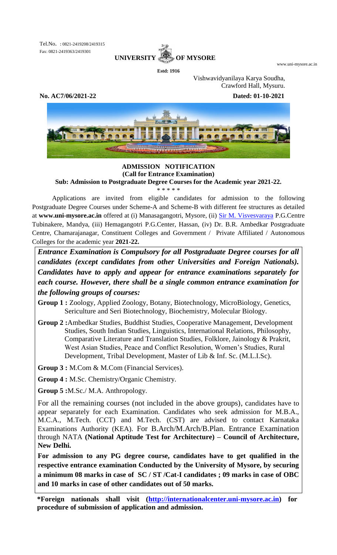Tel.No. : 0821-2419208/2419315 Fax: 0821-2419363/2419301



**Estd: 1916**

www.uni-mysore.ac.in

Vishwavidyanilaya Karya Soudha, Crawford Hall, Mysuru.

**No. AC7/06/2021-22 Dated: 01-10-2021**



# **ADMISSION NOTIFICATION (Call for Entrance Examination)**

**Sub: Admission to Postgraduate Degree Courses for the Academic year 2021-22.**

\* \* \* \* \*

Applications are invited from eligible candidates for admission to the following Postgraduate Degree Courses under Scheme-A and Scheme-B with different fee structures as detailed at **www.uni-mysore.ac.in** offered at (i) Manasagangotri, Mysore, (ii) Sir M. [Visvesvaraya](http://www.uni-mysore.ac.in/english-version/pg-centre-mandya/) P.G.Centre Tubinakere, Mandya, (iii) Hemagangotri P.G.Center, Hassan, (iv) Dr. B.R. Ambedkar Postgraduate Centre, Chamarajanagar, Constituent Colleges and Government / Private Affiliated / Autonomous Colleges for the academic year **2021-22.** 

*Entrance Examination is Compulsory for all Postgraduate Degree courses for all candidates (except candidates from other Universities and Foreign Nationals). Candidates have to apply and appear for entrance examinations separately for each course. However, there shall be a single common entrance examination for the following groups of courses:*

**Group 1 :** Zoology, Applied Zoology, Botany, Biotechnology, MicroBiology, Genetics, Sericulture and Seri Biotechnology, Biochemistry, Molecular Biology.

**Group 2 :**Ambedkar Studies, Buddhist Studies, Cooperative Management, Development Studies, South Indian Studies, Linguistics, International Relations, Philosophy, Comparative Literature and Translation Studies, Folklore, Jainology & Prakrit, West Asian Studies, Peace and Conflict Resolution, Women's Studies, Rural Development, Tribal Development, Master of Lib & Inf. Sc. (M.L.I.Sc).

**Group 3 :** M.Com & M.Com (Financial Services).

**Group 4 :** M.Sc. Chemistry/Organic Chemistry.

**Group 5 :**M.Sc./ M.A. Anthropology.

For all the remaining courses (not included in the above groups), candidates have to appear separately for each Examination. Candidates who seek admission for M.B.A., M.C.A., M.Tech. (CCT) and M.Tech. (CST) are advised to contact Karnataka Examinations Authority (KEA). For B.Arch/M.Arch/B.Plan. Entrance Examination through NATA **(National Aptitude Test for Architecture) – Council of Architecture, New Delhi.**

**For admission to any PG degree course, candidates have to get qualified in the respective entrance examination Conducted by the University of Mysore, by securing a minimum 08 marks in case of SC / ST /Cat-I candidates ; 09 marks in case of OBC and 10 marks in case of other candidates out of 50 marks.**

**<sup>\*</sup>Foreign nationals shall visit [\(http://internationalcenter.uni-mysore.ac.in\)](http://internationalcenter.uni-mysore.ac.in/) for procedure of submission of application and admission.**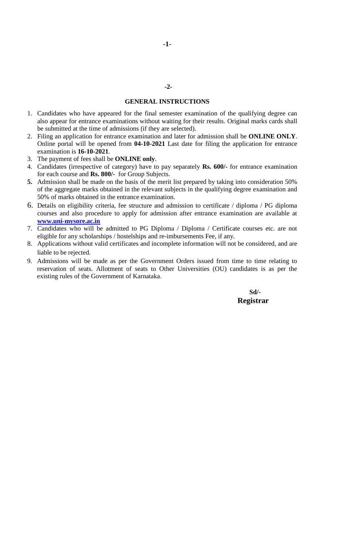#### **GENERAL INSTRUCTIONS**

- 1. Candidates who have appeared for the final semester examination of the qualifying degree can also appear for entrance examinations without waiting for their results. Original marks cards shall be submitted at the time of admissions (if they are selected).
- 2. Filing an application for entrance examination and later for admission shall be **ONLINE ONLY**. Online portal will be opened from **04-10-2021** Last date for filing the application for entrance examination is **16-10-2021**.
- 3. The payment of fees shall be **ONLINE only**.
- 4. Candidates (irrespective of category) have to pay separately **Rs. 600/-** for entrance examination for each course and **Rs. 800/-** for Group Subjects.
- **5.** Admission shall be made on the basis of the merit list prepared by taking into consideration 50% of the aggregate marks obtained in the relevant subjects in the qualifying degree examination and 50% of marks obtained in the entrance examination.
- 6. Details on eligibility criteria, fee structure and admission to certificate / diploma / PG diploma courses and also procedure to apply for admission after entrance examination are available at **[www.uni-mysore.ac.in](http://www.uni-mysore.ac.in/)**
- 7. Candidates who will be admitted to PG Diploma / Diploma / Certificate courses etc. are not eligible for any scholarships / hostelships and re-imbursements Fee, if any.
- 8. Applications without valid certificates and incomplete information will not be considered, and are liable to be rejected.
- 9. Admissions will be made as per the Government Orders issued from time to time relating to reservation of seats. Allotment of seats to Other Universities (OU) candidates is as per the existing rules of the Government of Karnataka.

### **Sd/- Registrar**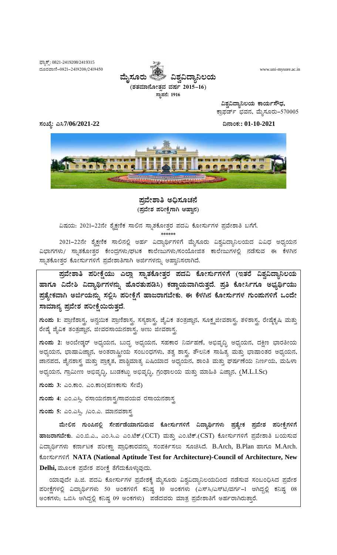ಫ್ಯಾಕ್ಸ್: 0821-2419208/2419315 ದೂರವಾಣಿ-0821-2419208/2419450



www.uni-mysore.ac.in

ಸಂಖ್ಯೆ: ಎಸಿ7/06/2021-22

ವಿಶ್ವವಿದ್ಯಾನಿಲಯ ಕಾರ್ಯಸೌಧ, ಕ್ರಾಫರ್ಡ್ ಭವನ, ಮೈಸೂರು–570005

ದಿನಾಂಕ:: 01-10-2021



### ಪ್ರವೇಶಾತಿ ಅಧಿಸೂಚನೆ (ಪ್ರವೇಶ ಪರೀಕ್ಷೆಗಾಗಿ ಆಹ್ವಾನ)

ವಿಷಯ: 2021–22ನೇ ಶೈಕ್ಷಣಿಕ ಸಾಲಿನ ಸ್ನಾತಕೋತ್ತರ ಪದವಿ ಕೋರ್ಸುಗಳ ಪ್ರವೇಶಾತಿ ಬಗೆಗೆ.

2021–22ನೇ ಶೈಕ್ಷಣಿಕ ಸಾಲಿನಲ್ಲಿ ಅರ್ಹ ವಿದ್ಯಾರ್ಥಿಗಳಿಗೆ ಮೈಸೂರು ವಿಶ್ವವಿದ್ಯಾನಿಲಯದ ವಿವಿಧ ಅಧ್ಯಯನ ವಿಭಾಗಗಳು/ ಸ್ನಾತಕೋತ್ತರ ಕೇಂದ್ರಗಳು/ಘಟಕ ಕಾಲೇಜುಗಳು/ಸಂಯೋಜಿತ ಕಾಲೇಜುಗಳಲ್ಲಿ ನಡೆಸುವ ಈ ಕೆಳಗಿನ ಸ್ನಾತಕೋತ್ತರ ಕೋರ್ಸುಗಳಿಗೆ ಪ್ರವೇಶಾತಿಗಾಗಿ ಅರ್ಜಿಗಳನ್ನು ಆಹ್ವಾನಿಸಲಾಗಿದೆ.

ಪ್ರವೇಶಾತಿ ಪರೀಕ್ಷೆಯು ಎಲ್ಲಾ ಸ್ನಾತಕೋತ್ತರ ಪದವಿ ಕೋರ್ಸುಗಳಿಗೆ (ಇತರೆ ವಿಶ್ವವಿದ್ಯಾನಿಲಯ ಹಾಗೂ ವಿದೇಶಿ ವಿದ್ಯಾರ್ಥಿಗಳನ್ನು ಹೊರತುಪಡಿಸಿ) ಕಡ್ಡಾಯವಾಗಿರುತ್ತದೆ. ಪ್ರತಿ ಕೋರ್ಸಿಗೂ ಅಭ್ಯರ್ಥಿಯು ಪ್ರತ್ಯೇಕವಾಗಿ ಅರ್ಜಿಯನ್ನು ಸಲ್ಲಿಸಿ ಪರೀಕ್ಷೆಗೆ ಹಾಜರಾಗಬೇಕು. ಈ ಕೆಳಗಿನ ಕೋರ್ಸುಗಳ ಗುಂಪುಗಳಿಗೆ ಒಂದೇ ಸಾಮಾನ್ಯ ಪ್ರವೇಶ ಪರೀಕ್ಷೆಯಿರುತ್ತದೆ.

<mark>ಗುಂಮ 1:</mark> ಪ್ರಾಣಿಶಾಸ್ತ್ರ, ಅನ್ವಯಿಕ ಪ್ರಾಣಿಶಾಸ್ತ್ರ, ಸಸ್ಯಶಾಸ್ತ್ರ, ಜೈವಿಕ ತಂತ್ರಜ್ಞಾನ, ಸೂಕ್ಷ್ಮಜೀವಶಾಸ್ತ್ರ, ತಳಿಶಾಸ್ತ್ರ, ರೇಷ್ಮೆಕೃಷಿ ಮತ್ತು ರೇಷ್ಮೆ ಜೈವಿಕ ತಂತ್ರಜ್ಞಾನ, ಜೀವರಸಾಯನಶಾಸ್ತ್ರ ಅಣು ಜೀವಶಾಸ್ತ್ರ

**ಗುಂಮ 2:** ಅಂಬೇಡ್ಕರ್ ಅಧ್ಯಯನ, ಬುದ್ಧ ಅಧ್ಯಯನ, ಸಹಕಾರ ನಿರ್ವಹಣೆ, ಅಭಿವೃದ್ಧಿ ಅಧ್ಯಯನ, ದಕ್ಷಿಣ ಭಾರತೀಯ ಅಧ್ಯಯನ, ಭಾಷಾವಿಜ್ಞಾನ, ಅಂತರಾಷ್ಟ್ರೀಯ ಸಂಬಂಧಗಳು, ತತ್ವ ಶಾಸ್ತ್ರ, ತೌಲನಿಕ ಸಾಹಿತ್ಯ ಮತ್ತು ಭಾಷಾಂತರ ಅಧ್ಯಯನ, ಜಾನಪದ, ಜೈನಶಾಸ್ತ್ರ ಮತ್ತು ಪ್ರಾಕೃತ, ಪಾಶ್ಚಿಮಾತ್ಯ ಏಷಿಯಾದ ಅಧ್ಯಯನ, ಶಾಂತಿ ಮತ್ತು ಘರ್ಷಣೆಯ ನಿರ್ಣಯ, ಮಹಿಳಾ ಅಧ್ಯಯನ, ಗ್ರಾಮೀಣ ಅಭಿವೃದ್ಧಿ, ಬುಡಕಟ್ಟು ಅಭಿವೃದ್ಧಿ, ಗ್ರಂಥಾಲಯ ಮತ್ತು ಮಾಹಿತಿ ವಿಜ್ಞಾನ, (M.L.I.Sc)

ಗುಂಪು 3: ಎಂ.ಕಾಂ. ಎಂ.ಕಾಂ(ಹಣಕಾಸು ಸೇವೆ)

ಗುಂಪು 4: ಎಂ.ಎಸ್ಸಿ, ರಸಾಯನಶಾಸ್ತ್ರ/ಸಾವಯವ ರಸಾಯನಶಾಸ್ತ್ರ

ಗುಂಪು 5: ಎಂ.ಎಸ್ಸಿ, /ಎಂ.ಎ. ಮಾನವಶಾಸ್ತ್ರ

ಮೇಲಿನ ಗುಂಪಿನಲ್ಲಿ ಸೇರ್ಪಡೆಯಾಗದಿರುವ ಕೋರ್ಸುಗಳಿಗೆ ವಿದ್ಯಾರ್ಥಿಗಳು ಪ್ರತ್ಯೇಕ ಪ್ರವೇಶ ಪರೀಕ್ಷೆಗಳಿಗೆ ಹಾಜರಾಗಬೇಕು. ಎಂ.ಬಿ.ಎ., ಎಂ.ಸಿ.ಎ ಎಂ.ಟೆಕ್.(CCT) ಮತ್ತು ಎಂ.ಟೆಕ್.(CST) ಕೋರ್ಸುಗಳಿಗೆ ಪ್ರವೇಶಾತಿ ಬಯಸುವ ವಿದ್ಯಾರ್ಥಿಗಳು ಕರ್ನಾಟಕ ಪರೀಕ್ಷಾ ಪ್ರಾಧಿಕಾರವನ್ನು ಸಂಪರ್ಕಿಸಲು ಸೂಚಿಸಿದೆ. B.Arch, B.Plan ಹಾಗೂ M.Arch. ಕೋರ್ಸುಗಳಿಗೆ NATA (National Aptitude Test for Architecture)-Council of Architecture, New Delhi, ಮೂಲಕ ಪ್ರವೇಶ ಪರೀಕ್ಷೆ ತೆಗೆದುಕೊಳ್ಳುವುದು.

ಯಾವುದೇ ಪಿ.ಜಿ. ಪದವಿ ಕೋರ್ಸುಗಳ ಪ್ರವೇಶಕ್ಕೆ ಮೈಸೂರು ವಿಶ್ವವಿದ್ಯಾನಿಲಯದಿಂದ ನಡೆಸುವ ಸಂಬಂಧಿಸಿದ ಪ್ರವೇಶ ಪರೀಕ್ಷೆಗಳಲ್ಲಿ ವಿದ್ಯಾರ್ಥಿಗಳು 50 ಅಂಕಗಳಿಗೆ ಕನಿಷ್ಠ 10 ಅಂಕಗಳು (ಎಸ್ಸ್/ಎಸ್ಟಿ/ವರ್ಗ–1 ಆಗಿದ್ದಲ್ಲಿ ಕನಿಷ್ಠ 08 ಅಂಕಗಳು; ಒಬಿಸಿ ಆಗಿದ್ದಲ್ಲಿ ಕನಿಷ್ಠ 09 ಅಂಕಗಳು) ಪಡೆದವರು ಮಾತ್ರ ಪ್ರವೇಶಾತಿಗೆ ಅರ್ಹರಾಗಿರುತ್ತಾರೆ.